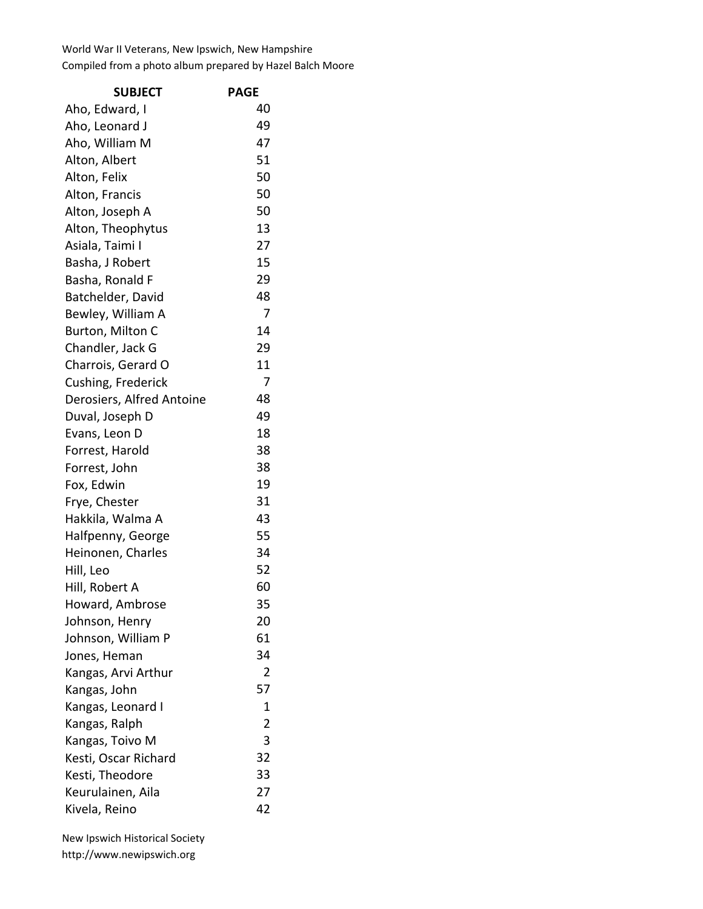World War II Veterans, New Ipswich, New Hampshire Compiled from a photo album prepared by Hazel Balch Moore

| <b>SUBJECT</b>            | <b>PAGE</b>    |
|---------------------------|----------------|
| Aho, Edward, I            | 40             |
| Aho, Leonard J            | 49             |
| Aho, William M            | 47             |
| Alton, Albert             | 51             |
| Alton, Felix              | 50             |
| Alton, Francis            | 50             |
| Alton, Joseph A           | 50             |
| Alton, Theophytus         | 13             |
| Asiala, Taimi I           | 27             |
| Basha, J Robert           | 15             |
| Basha, Ronald F           | 29             |
| Batchelder, David         | 48             |
| Bewley, William A         | 7              |
| Burton, Milton C          | 14             |
| Chandler, Jack G          | 29             |
| Charrois, Gerard O        | 11             |
| Cushing, Frederick        | 7              |
| Derosiers, Alfred Antoine | 48             |
| Duval, Joseph D           | 49             |
| Evans, Leon D             | 18             |
| Forrest, Harold           | 38             |
| Forrest, John             | 38             |
| Fox, Edwin                | 19             |
| Frye, Chester             | 31             |
| Hakkila, Walma A          | 43             |
| Halfpenny, George         | 55             |
| Heinonen, Charles         | 34             |
| Hill, Leo                 | 52             |
| Hill, Robert A            | 60             |
| Howard, Ambrose           | 35             |
| Johnson, Henry            | 20             |
| Johnson, William P        | 61             |
| Jones, Heman              | 34             |
| Kangas, Arvi Arthur       | 2              |
| Kangas, John              | 57             |
| Kangas, Leonard I         | 1              |
| Kangas, Ralph             | $\overline{2}$ |
| Kangas, Toivo M           | 3              |
| Kesti, Oscar Richard      | 32             |
| Kesti, Theodore           | 33             |
| Keurulainen, Aila         | 27             |
| Kivela, Reino             | 42             |

New Ipswich Historical Society http://www.newipswich.org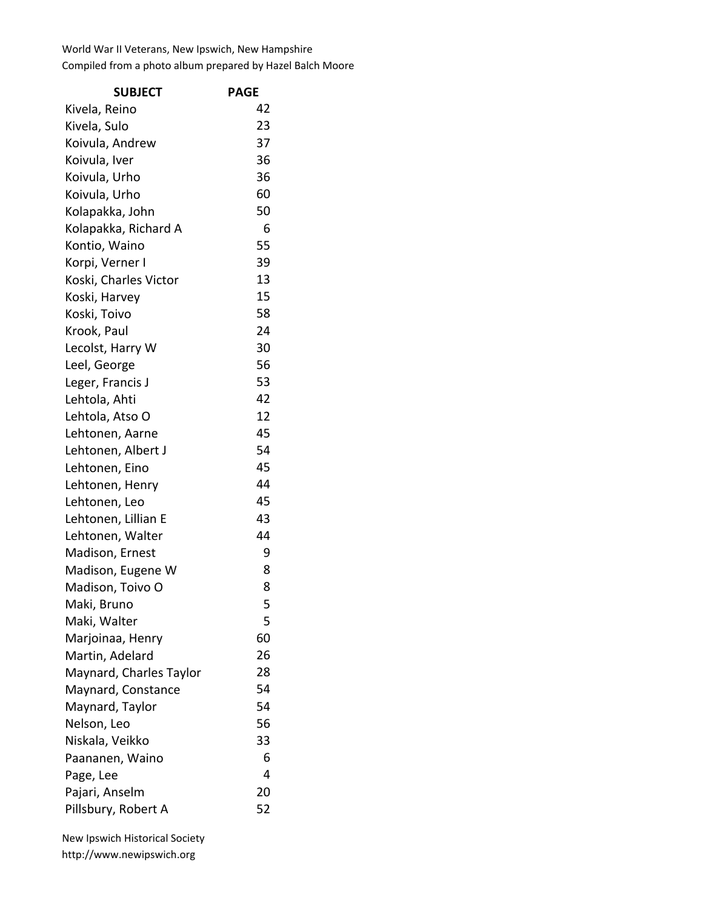## World War II Veterans, New Ipswich, New Hampshire Compiled from a photo album prepared by Hazel Balch Moore

| <b>SUBJECT</b>          | <b>PAGE</b> |
|-------------------------|-------------|
| Kivela, Reino           | 42          |
| Kivela, Sulo            | 23          |
| Koivula, Andrew         | 37          |
| Koivula, Iver           | 36          |
| Koivula, Urho           | 36          |
| Koivula, Urho           | 60          |
| Kolapakka, John         | 50          |
| Kolapakka, Richard A    | 6           |
| Kontio, Waino           | 55          |
| Korpi, Verner I         | 39          |
| Koski, Charles Victor   | 13          |
| Koski, Harvey           | 15          |
| Koski, Toivo            | 58          |
| Krook, Paul             | 24          |
| Lecolst, Harry W        | 30          |
| Leel, George            | 56          |
| Leger, Francis J        | 53          |
| Lehtola, Ahti           | 42          |
| Lehtola, Atso O         | 12          |
| Lehtonen, Aarne         | 45          |
| Lehtonen, Albert J      | 54          |
| Lehtonen, Eino          | 45          |
| Lehtonen, Henry         | 44          |
| Lehtonen, Leo           | 45          |
| Lehtonen, Lillian E     | 43          |
| Lehtonen, Walter        | 44          |
| Madison, Ernest         | 9           |
| Madison, Eugene W       | 8           |
| Madison, Toivo O        | 8           |
| Maki, Bruno             | 5           |
| Maki, Walter            | 5           |
| Marjoinaa, Henry        | 60          |
| Martin, Adelard         | 26          |
| Maynard, Charles Taylor | 28          |
| Maynard, Constance      | 54          |
| Maynard, Taylor         | 54          |
| Nelson, Leo             | 56          |
| Niskala, Veikko         | 33          |
| Paananen, Waino         | 6           |
| Page, Lee               | 4           |
| Pajari, Anselm          | 20          |
| Pillsbury, Robert A     | 52          |

New Ipswich Historical Society http://www.newipswich.org